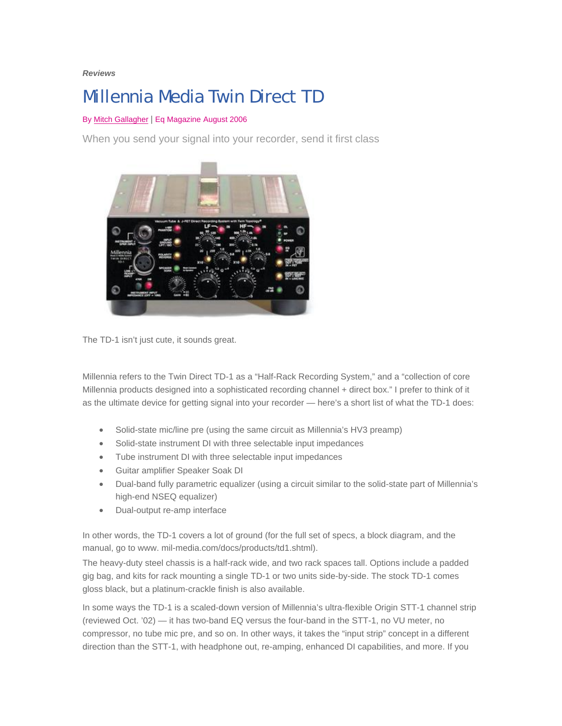### *Reviews*

# Millennia Media Twin Direct TD

# By [Mitch Gallagher](http://www.eqmag.com/biography.asp?iam=484) | Eq Magazine August 2006

When you send your signal into your recorder, send it first class



The TD-1 isn't just cute, it sounds great.

Millennia refers to the Twin Direct TD-1 as a "Half-Rack Recording System," and a "collection of core Millennia products designed into a sophisticated recording channel + direct box." I prefer to think of it as the ultimate device for getting signal into your recorder — here's a short list of what the TD-1 does:

- Solid-state mic/line pre (using the same circuit as Millennia's HV3 preamp)
- Solid-state instrument DI with three selectable input impedances
- Tube instrument DI with three selectable input impedances
- Guitar amplifier Speaker Soak DI
- Dual-band fully parametric equalizer (using a circuit similar to the solid-state part of Millennia's high-end NSEQ equalizer)
- Dual-output re-amp interface

In other words, the TD-1 covers a lot of ground (for the full set of specs, a block diagram, and the manual, go to www. mil-media.com/docs/products/td1.shtml).

The heavy-duty steel chassis is a half-rack wide, and two rack spaces tall. Options include a padded gig bag, and kits for rack mounting a single TD-1 or two units side-by-side. The stock TD-1 comes gloss black, but a platinum-crackle finish is also available.

In some ways the TD-1 is a scaled-down version of Millennia's ultra-flexible Origin STT-1 channel strip (reviewed Oct. '02) — it has two-band EQ versus the four-band in the STT-1, no VU meter, no compressor, no tube mic pre, and so on. In other ways, it takes the "input strip" concept in a different direction than the STT-1, with headphone out, re-amping, enhanced DI capabilities, and more. If you